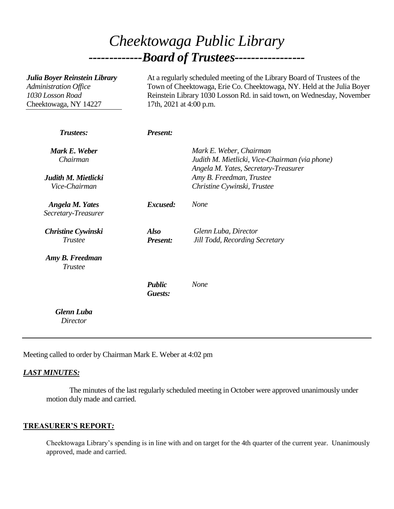# *Cheektowaga Public Library -------------Board of Trustees-----------------*

| Julia Boyer Reinstein Library<br>Administration Office<br>1030 Losson Road<br>Cheektowaga, NY 14227 | At a regularly scheduled meeting of the Library Board of Trustees of the<br>Town of Cheektowaga, Erie Co. Cheektowaga, NY. Held at the Julia Boyer<br>Reinstein Library 1030 Losson Rd. in said town, on Wednesday, November<br>17th, 2021 at 4:00 p.m. |                                                                                                                   |
|-----------------------------------------------------------------------------------------------------|---------------------------------------------------------------------------------------------------------------------------------------------------------------------------------------------------------------------------------------------------------|-------------------------------------------------------------------------------------------------------------------|
| Trustees:                                                                                           | <b>Present:</b>                                                                                                                                                                                                                                         |                                                                                                                   |
| Mark E. Weber<br>Chairman                                                                           |                                                                                                                                                                                                                                                         | Mark E. Weber, Chairman<br>Judith M. Mietlicki, Vice-Chairman (via phone)<br>Angela M. Yates, Secretary-Treasurer |
| Judith M. Mietlicki<br>Vice-Chairman                                                                |                                                                                                                                                                                                                                                         | Amy B. Freedman, Trustee<br>Christine Cywinski, Trustee                                                           |
| <b>Angela M. Yates</b><br>Secretary-Treasurer                                                       | Excused:                                                                                                                                                                                                                                                | <b>None</b>                                                                                                       |
| <b>Christine Cywinski</b><br><b>Trustee</b>                                                         | <b>Also</b><br><b>Present:</b>                                                                                                                                                                                                                          | Glenn Luba, Director<br><b>Jill Todd, Recording Secretary</b>                                                     |
| Amy B. Freedman<br><b>Trustee</b>                                                                   |                                                                                                                                                                                                                                                         |                                                                                                                   |
|                                                                                                     | <b>Public</b><br>Guests:                                                                                                                                                                                                                                | <b>None</b>                                                                                                       |
| <b>Glenn Luba</b><br><b>Director</b>                                                                |                                                                                                                                                                                                                                                         |                                                                                                                   |

Meeting called to order by Chairman Mark E. Weber at 4:02 pm

### *LAST MINUTES:*

The minutes of the last regularly scheduled meeting in October were approved unanimously under motion duly made and carried.

#### **TREASURER'S REPORT***:*

Cheektowaga Library's spending is in line with and on target for the 4th quarter of the current year. Unanimously approved, made and carried.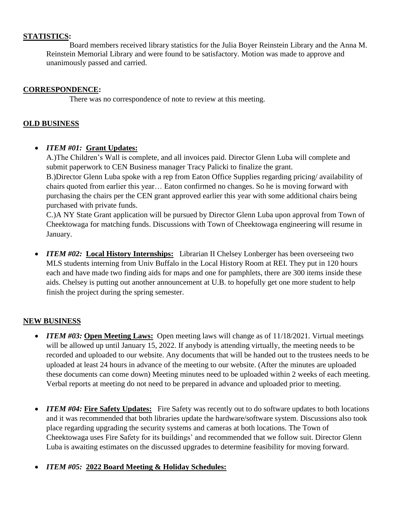## **STATISTICS:**

Board members received library statistics for the Julia Boyer Reinstein Library and the Anna M. Reinstein Memorial Library and were found to be satisfactory. Motion was made to approve and unanimously passed and carried.

### **CORRESPONDENCE:**

There was no correspondence of note to review at this meeting.

### **OLD BUSINESS**

## *ITEM #01:* **Grant Updates:**

A.)The Children's Wall is complete, and all invoices paid. Director Glenn Luba will complete and submit paperwork to CEN Business manager Tracy Palicki to finalize the grant. B.)Director Glenn Luba spoke with a rep from Eaton Office Supplies regarding pricing/ availability of chairs quoted from earlier this year… Eaton confirmed no changes. So he is moving forward with purchasing the chairs per the CEN grant approved earlier this year with some additional chairs being purchased with private funds.

C.)A NY State Grant application will be pursued by Director Glenn Luba upon approval from Town of Cheektowaga for matching funds. Discussions with Town of Cheektowaga engineering will resume in January.

• *ITEM #02:* Local History Internships: Librarian II Chelsey Lonberger has been overseeing two MLS students interning from Univ Buffalo in the Local History Room at REI. They put in 120 hours each and have made two finding aids for maps and one for pamphlets, there are 300 items inside these aids. Chelsey is putting out another announcement at U.B. to hopefully get one more student to help finish the project during the spring semester.

## **NEW BUSINESS**

- *ITEM #03:* Open Meeting Laws: Open meeting laws will change as of 11/18/2021. Virtual meetings will be allowed up until January 15, 2022. If anybody is attending virtually, the meeting needs to be recorded and uploaded to our website. Any documents that will be handed out to the trustees needs to be uploaded at least 24 hours in advance of the meeting to our website. (After the minutes are uploaded these documents can come down) Meeting minutes need to be uploaded within 2 weeks of each meeting. Verbal reports at meeting do not need to be prepared in advance and uploaded prior to meeting.
- *ITEM #04:* Fire Safety Updates: Fire Safety was recently out to do software updates to both locations and it was recommended that both libraries update the hardware/software system. Discussions also took place regarding upgrading the security systems and cameras at both locations. The Town of Cheektowaga uses Fire Safety for its buildings' and recommended that we follow suit. Director Glenn Luba is awaiting estimates on the discussed upgrades to determine feasibility for moving forward.
- *ITEM #05:* **2022 Board Meeting & Holiday Schedules:**